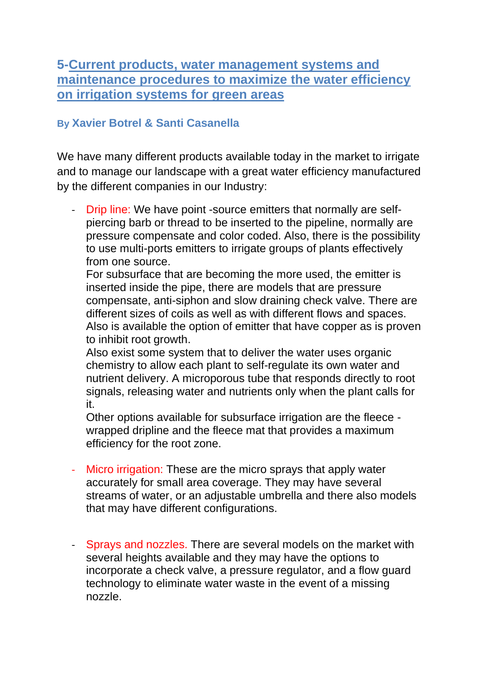## **5-Current products, water management systems and maintenance procedures to maximize the water efficiency on irrigation systems for green areas**

## **By Xavier Botrel & Santi Casanella**

We have many different products available today in the market to irrigate and to manage our landscape with a great water efficiency manufactured by the different companies in our Industry:

- Drip line: We have point -source emitters that normally are selfpiercing barb or thread to be inserted to the pipeline, normally are pressure compensate and color coded. Also, there is the possibility to use multi-ports emitters to irrigate groups of plants effectively from one source.

For subsurface that are becoming the more used, the emitter is inserted inside the pipe, there are models that are pressure compensate, anti-siphon and slow draining check valve. There are different sizes of coils as well as with different flows and spaces. Also is available the option of emitter that have copper as is proven to inhibit root growth.

Also exist some system that to deliver the water uses organic chemistry to allow each plant to self-regulate its own water and nutrient delivery. A microporous tube that responds directly to root signals, releasing water and nutrients only when the plant calls for it.

Other options available for subsurface irrigation are the fleece wrapped dripline and the fleece mat that provides a maximum efficiency for the root zone.

- Micro irrigation: These are the micro sprays that apply water accurately for small area coverage. They may have several streams of water, or an adjustable umbrella and there also models that may have different configurations.
- Sprays and nozzles. There are several models on the market with several heights available and they may have the options to incorporate a check valve, a pressure regulator, and a flow guard technology to eliminate water waste in the event of a missing nozzle.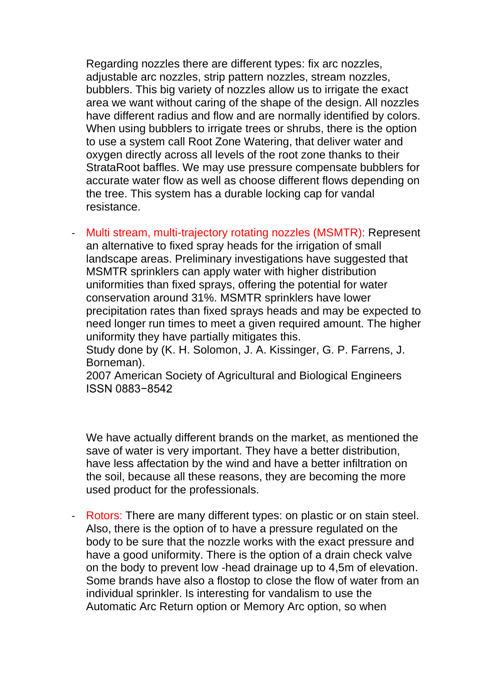Regarding nozzles there are different types: fix arc nozzles, adjustable arc nozzles, strip pattern nozzles, stream nozzles, bubblers. This big variety of nozzles allow us to irrigate the exact area we want without caring of the shape of the design. All nozzles have different radius and flow and are normally identified by colors. When using bubblers to irrigate trees or shrubs, there is the option to use a system call Root Zone Watering, that deliver water and oxygen directly across all levels of the root zone thanks to their StrataRoot baffles. We may use pressure compensate bubblers for accurate water flow as well as choose different flows depending on the tree. This system has a durable locking cap for vandal resistance.

- Multi stream, multi-trajectory rotating nozzles (MSMTR): Represent an alternative to fixed spray heads for the irrigation of small landscape areas. Preliminary investigations have suggested that MSMTR sprinklers can apply water with higher distribution uniformities than fixed sprays, offering the potential for water conservation around 31%. MSMTR sprinklers have lower precipitation rates than fixed sprays heads and may be expected to need longer run times to meet a given required amount. The higher uniformity they have partially mitigates this.

Study done by (K. H. Solomon, J. A. Kissinger, G. P. Farrens, J. Borneman).

2007 American Society of Agricultural and Biological Engineers ISSN 0883−8542

We have actually different brands on the market, as mentioned the save of water is very important. They have a better distribution, have less affectation by the wind and have a better infiltration on the soil, because all these reasons, they are becoming the more used product for the professionals.

- Rotors: There are many different types: on plastic or on stain steel. Also, there is the option of to have a pressure regulated on the body to be sure that the nozzle works with the exact pressure and have a good uniformity. There is the option of a drain check valve on the body to prevent low -head drainage up to 4,5m of elevation. Some brands have also a flostop to close the flow of water from an individual sprinkler. Is interesting for vandalism to use the Automatic Arc Return option or Memory Arc option, so when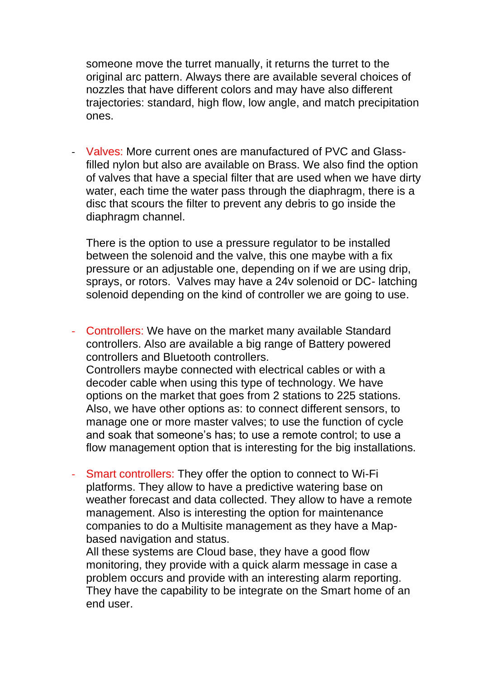someone move the turret manually, it returns the turret to the original arc pattern. Always there are available several choices of nozzles that have different colors and may have also different trajectories: standard, high flow, low angle, and match precipitation ones.

- Valves: More current ones are manufactured of PVC and Glassfilled nylon but also are available on Brass. We also find the option of valves that have a special filter that are used when we have dirty water, each time the water pass through the diaphragm, there is a disc that scours the filter to prevent any debris to go inside the diaphragm channel.

There is the option to use a pressure regulator to be installed between the solenoid and the valve, this one maybe with a fix pressure or an adjustable one, depending on if we are using drip, sprays, or rotors. Valves may have a 24v solenoid or DC- latching solenoid depending on the kind of controller we are going to use.

- Controllers: We have on the market many available Standard controllers. Also are available a big range of Battery powered controllers and Bluetooth controllers.

Controllers maybe connected with electrical cables or with a decoder cable when using this type of technology. We have options on the market that goes from 2 stations to 225 stations. Also, we have other options as: to connect different sensors, to manage one or more master valves; to use the function of cycle and soak that someone's has; to use a remote control; to use a flow management option that is interesting for the big installations.

- Smart controllers: They offer the option to connect to Wi-Fi platforms. They allow to have a predictive watering base on weather forecast and data collected. They allow to have a remote management. Also is interesting the option for maintenance companies to do a Multisite management as they have a Mapbased navigation and status.

All these systems are Cloud base, they have a good flow monitoring, they provide with a quick alarm message in case a problem occurs and provide with an interesting alarm reporting. They have the capability to be integrate on the Smart home of an end user.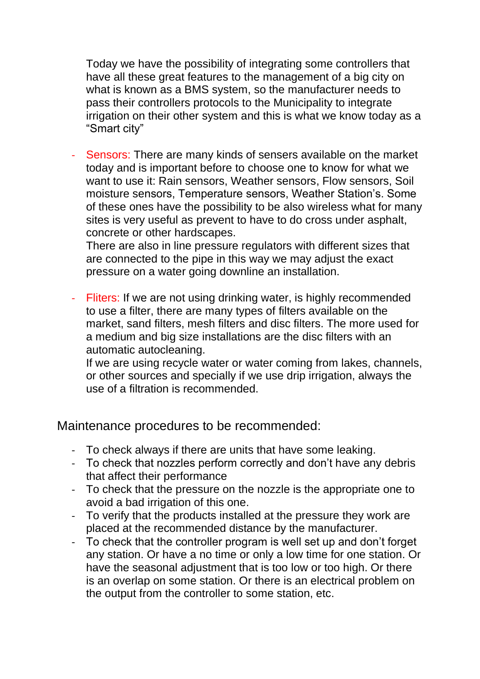Today we have the possibility of integrating some controllers that have all these great features to the management of a big city on what is known as a BMS system, so the manufacturer needs to pass their controllers protocols to the Municipality to integrate irrigation on their other system and this is what we know today as a "Smart city"

Sensors: There are many kinds of sensers available on the market today and is important before to choose one to know for what we want to use it: Rain sensors, Weather sensors, Flow sensors, Soil moisture sensors, Temperature sensors, Weather Station's. Some of these ones have the possibility to be also wireless what for many sites is very useful as prevent to have to do cross under asphalt, concrete or other hardscapes.

There are also in line pressure regulators with different sizes that are connected to the pipe in this way we may adjust the exact pressure on a water going downline an installation.

- Fliters: If we are not using drinking water, is highly recommended to use a filter, there are many types of filters available on the market, sand filters, mesh filters and disc filters. The more used for a medium and big size installations are the disc filters with an automatic autocleaning.

If we are using recycle water or water coming from lakes, channels, or other sources and specially if we use drip irrigation, always the use of a filtration is recommended.

Maintenance procedures to be recommended:

- To check always if there are units that have some leaking.
- To check that nozzles perform correctly and don't have any debris that affect their performance
- To check that the pressure on the nozzle is the appropriate one to avoid a bad irrigation of this one.
- To verify that the products installed at the pressure they work are placed at the recommended distance by the manufacturer.
- To check that the controller program is well set up and don't forget any station. Or have a no time or only a low time for one station. Or have the seasonal adjustment that is too low or too high. Or there is an overlap on some station. Or there is an electrical problem on the output from the controller to some station, etc.